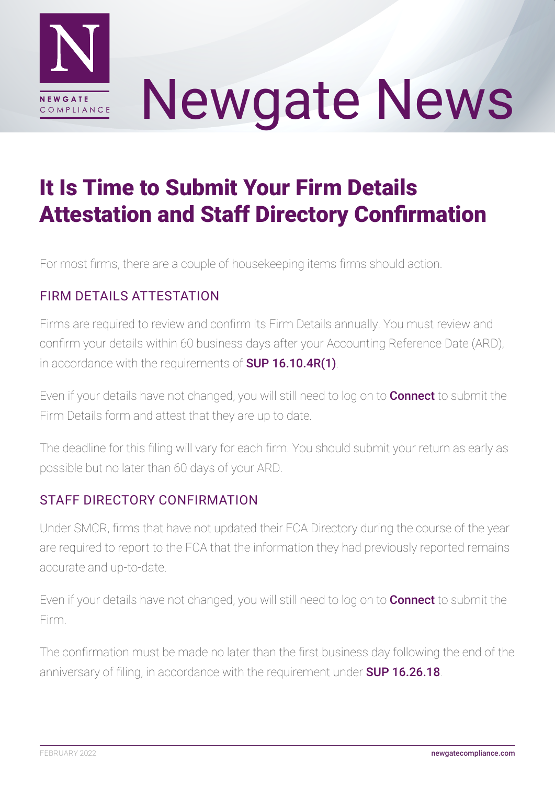

# Newgate News

# It Is Time to Submit Your Firm Details Attestation and Staff Directory Confirmation

For most firms, there are a couple of housekeeping items firms should action.

## FIRM DETAILS ATTESTATION

Firms are required to review and confirm its Firm Details annually. You must review and confirm your details within 60 business days after your Accounting Reference Date (ARD), in accordance with the requirements of **[SUP 16.10.4R\(1\)](https://www.handbook.fca.org.uk/handbook/SUP/16/10.html)**.

Even if your details have not changed, you will still need to log on to **[Connect](https://connect.fca.org.uk/firms/aupo_sitelogin)** to submit the Firm Details form and attest that they are up to date.

The deadline for this filing will vary for each firm. You should submit your return as early as possible but no later than 60 days of your ARD.

### STAFF DIRECTORY CONFIRMATION

Under SMCR, firms that have not updated their FCA Directory during the course of the year are required to report to the FCA that the information they had previously reported remains accurate and up-to-date.

Even if your details have not changed, you will still need to log on to **[Connect](https://connect.fca.org.uk/firms/aupo_sitelogin)** to submit the Firm.

The confirmation must be made no later than the first business day following the end of the anniversary of filing, in accordance with the requirement under **[SUP 16.26.18](https://www.handbook.fca.org.uk/handbook/SUP/16/26.html)**.